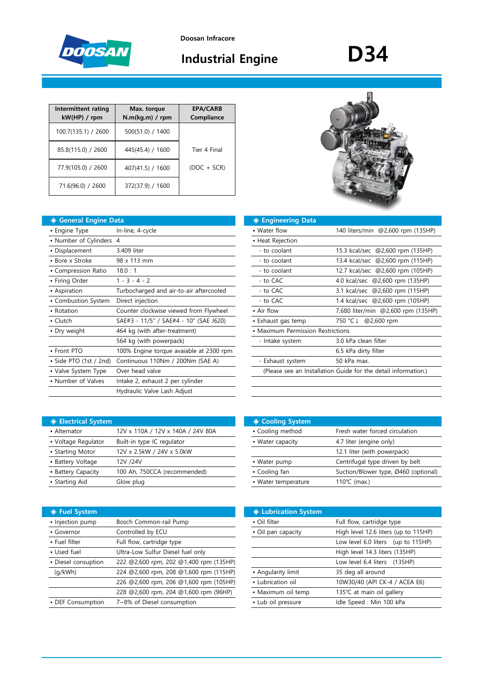

**Doosan Infracore**

# **Industrial Engine**

# **D34**

| Intermittent rating<br>kW(HP) / rpm | Max. torque<br>N.m(kq.m) / rpm | <b>EPA/CARB</b><br>Compliance |
|-------------------------------------|--------------------------------|-------------------------------|
| 100.7(135.1) / 2600                 | 500(51.0) / 1400               |                               |
| 85.8(115.0) / 2600                  | 445(45.4) / 1600               | Tier 4 Final                  |
| 77.9(105.0) / 2600                  | 407(41.5) / 1600               | $(DOC + SCR)$                 |
| 71.6(96.0) / 2600                   | 372(37.9) / 1600               |                               |

## **◈ General Engine Data ◈ Engineering Data**

| • Engine Type           | In-line, 4-cycle                        | • Water flow                      | 140 liters/min @2,600 rpm (135HP)                              |
|-------------------------|-----------------------------------------|-----------------------------------|----------------------------------------------------------------|
| • Number of Cylinders 4 |                                         | • Heat Rejection                  |                                                                |
| • Displacement          | 3.409 liter                             | - to coolant                      | 15.3 kcal/sec @2,600 rpm (135HP)                               |
| • Bore x Stroke         | 98 x 113 mm                             | - to coolant                      | 13.4 kcal/sec @2,600 rpm (115HP)                               |
| • Compression Ratio     | 18.0:1                                  | - to coolant                      | 12.7 kcal/sec @2,600 rpm (105HP)                               |
| • Firing Order          | $1 - 3 - 4 - 2$                         | - to CAC                          | 4.0 kcal/sec @2,600 rpm (135HP)                                |
| • Aspiration            | Turbocharged and air-to-air aftercooled | - to CAC                          | 3.1 kcal/sec @2,600 rpm (115HP)                                |
| • Combustion System     | Direct injection                        | - to CAC                          | 1.4 kcal/sec @2,600 rpm (105HP)                                |
| • Rotation              | Counter clockwise viewed from Flywheel  | • Air flow                        | 7,680 liter/min @2,600 rpm (135HF                              |
| $\cdot$ Clutch          | SAE#3 - 11/5" / SAE#4 - 10" (SAE J620)  | • Exhaust gas temp                | @2,600 rpm<br>750 °C ↓                                         |
| • Dry weight            | 464 kg (with after-treatment)           | • Maximum Permission Restrictions |                                                                |
|                         | 564 kg (with powerpack)                 | - Intake system                   | 3.0 kPa clean filter                                           |
| • Front PTO             | 100% Engine torque avaiable at 2300 rpm |                                   | 6.5 kPa dirty filter                                           |
| • Side PTO (1st / 2nd)  | Continuous 110Nm / 200Nm (SAE A)        | - Exhaust system                  | 50 kPa max.                                                    |
| • Valve System Type     | Over head valve                         |                                   | (Please see an Installation Guide for the detail information.) |
| • Number of Valves      | Intake 2, exhaust 2 per cylinder        |                                   |                                                                |
|                         | Hydraulic Valve Lash Adjust             |                                   |                                                                |

|--|

| • Engine Type           | In-line, 4-cycle                        | • Water flow                      | 140 liters/min @2,600 rpm (135HP)                              |
|-------------------------|-----------------------------------------|-----------------------------------|----------------------------------------------------------------|
| • Number of Cylinders 4 |                                         | • Heat Rejection                  |                                                                |
| • Displacement          | 3.409 liter                             | - to coolant                      | 15.3 kcal/sec @2,600 rpm (135HP)                               |
| • Bore x Stroke         | 98 x 113 mm                             | - to coolant                      | 13.4 kcal/sec @2,600 rpm (115HP)                               |
| • Compression Ratio     | 18.0:1                                  | - to coolant                      | 12.7 kcal/sec @2,600 rpm (105HP)                               |
| • Firing Order          | $1 - 3 - 4 - 2$                         | - to CAC                          | 4.0 kcal/sec @2,600 rpm (135HP)                                |
| • Aspiration            | Turbocharged and air-to-air aftercooled | - to CAC                          | 3.1 kcal/sec @2,600 rpm (115HP)                                |
| • Combustion System     | Direct injection                        | - to CAC                          | 1.4 kcal/sec @2,600 rpm (105HP)                                |
| • Rotation              | Counter clockwise viewed from Flywheel  | • Air flow                        | 7,680 liter/min @2,600 rpm (135HP)                             |
| $\bullet$ Clutch        | SAE#3 - 11/5" / SAE#4 - 10" (SAE J620)  | • Exhaust gas temp                | @2,600 rpm<br>750 °C ↓                                         |
| • Dry weight            | 464 kg (with after-treatment)           | • Maximum Permission Restrictions |                                                                |
|                         | 564 kg (with powerpack)                 | - Intake system                   | 3.0 kPa clean filter                                           |
| • Front PTO             | 100% Engine torque avaiable at 2300 rpm |                                   | 6.5 kPa dirty filter                                           |
| • Side PTO (1st / 2nd)  | Continuous 110Nm / 200Nm (SAE A)        | - Exhaust system                  | 50 kPa max.                                                    |
| • Valve System Type     | Over head valve                         |                                   | (Please see an Installation Guide for the detail information.) |
|                         |                                         |                                   |                                                                |

| ♦ Electrical System |                                   | ◈ Cooling System    |                                 |
|---------------------|-----------------------------------|---------------------|---------------------------------|
| • Alternator        | 12V x 110A / 12V x 140A / 24V 80A | • Cooling method    | Fresh water forced circulation  |
| • Voltage Regulator | Built-in type IC regulator        | • Water capacity    | 4.7 liter (engine only)         |
| • Starting Motor    | 12V x 2.5kW / 24V x 5.0kW         |                     | 12.1 liter (with powerpack)     |
| • Battery Voltage   | 12V /24V                          | • Water pump        | Centrifugal type driven by belt |
| • Battery Capacity  | 100 Ah, 750CCA (recommended)      | • Cooling fan       | Suction/Blower type, Ø460 (op   |
| • Starting Aid      | Glow plug                         | • Water temperature | 110 $°C$ (max.)                 |

| ◈ Fuel System       |                                        | <b>♦ Lubrication System</b> |                                      |
|---------------------|----------------------------------------|-----------------------------|--------------------------------------|
| • Injection pump    | Bosch Common-rail Pump                 | • Oil filter                | Full flow, cartridge type            |
| • Governor          | Controlled by ECU                      | • Oil pan capacity          | High level 12.6 liters (up to 115HP) |
| • Fuel filter       | Full flow, cartridge type              |                             | Low level 6.0 liters (up to 115HP)   |
| • Used fuel         | Ultra-Low Sulfur Diesel fuel only      |                             | High level 14.3 liters (135HP)       |
| • Diesel consuption | 222 @2,600 rpm, 202 @1,400 rpm (135HP) |                             | Low level 6.4 liters (135HP)         |
| (q/kWh)             | 224 @2,600 rpm, 208 @1,600 rpm (115HP) | • Angularity limit          | 35 deg all around                    |
|                     | 226 @2,600 rpm, 206 @1,600 rpm (105HP) | • Lubrication oil           | 10W30/40 (API CK-4 / ACEA E6)        |
|                     | 228 @2,600 rpm, 204 @1,600 rpm (96HP)  | • Maximum oil temp          | 135℃ at main oil gallery             |
| • DEF Consumption   | 7~8% of Diesel consumption             | • Lub oil pressure          | Idle Speed: Min 100 kPa              |

| <b>Electrical System</b> |                                   | <b>♦ Cooling System</b> |                                      |
|--------------------------|-----------------------------------|-------------------------|--------------------------------------|
| • Alternator             | 12V x 110A / 12V x 140A / 24V 80A | • Cooling method        | Fresh water forced circulation       |
| • Voltage Regulator      | Built-in type IC regulator        | • Water capacity        | 4.7 liter (engine only)              |
| • Starting Motor         | 12V x 2.5kW / 24V x 5.0kW         |                         | 12.1 liter (with powerpack)          |
| • Battery Voltage        | 12V /24V                          | • Water pump            | Centrifugal type driven by belt      |
| • Battery Capacity       | 100 Ah, 750CCA (recommended)      | • Cooling fan           | Suction/Blower type, Ø460 (optional) |
| • Starting Aid           | Glow plug                         | • Water temperature     | 110 $°C$ (max.)                      |

|                                        | Lubrication System |                                      |
|----------------------------------------|--------------------|--------------------------------------|
| Bosch Common-rail Pump                 | • Oil filter       | Full flow, cartridge type            |
| Controlled by ECU                      | • Oil pan capacity | High level 12.6 liters (up to 115HP) |
| Full flow, cartridge type              |                    | Low level 6.0 liters (up to 115HP)   |
| Ultra-Low Sulfur Diesel fuel only      |                    | High level 14.3 liters (135HP)       |
| 222 @2,600 rpm, 202 @1,400 rpm (135HP) |                    | Low level 6.4 liters (135HP)         |
| 224 @2,600 rpm, 208 @1,600 rpm (115HP) | • Angularity limit | 35 deg all around                    |
| 226 @2,600 rpm, 206 @1,600 rpm (105HP) | • Lubrication oil  | 10W30/40 (API CK-4 / ACEA E6)        |
| 228 @2,600 rpm, 204 @1,600 rpm (96HP)  | • Maximum oil temp | 135℃ at main oil gallery             |
| 7~8% of Diesel consumption             | • Lub oil pressure | Idle Speed : Min 100 kPa             |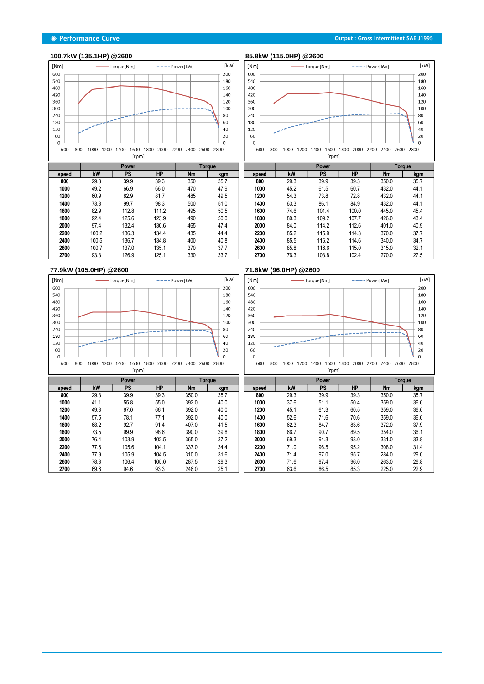#### **◈ Performance Curve Output : Gross Intermittent SAE J1995**

## **100.7kW (135.1HP) @2600 85.8kW (115.0HP) @2600**



|       |       | Power | Torque    |           |      |
|-------|-------|-------|-----------|-----------|------|
| speed | kW    | PS    | <b>HP</b> | <b>Nm</b> | kgm  |
| 800   | 29.3  | 39.9  | 39.3      | 350       | 35.7 |
| 1000  | 49.2  | 66.9  | 66.0      | 470       | 47.9 |
| 1200  | 60.9  | 82.9  | 81.7      | 485       | 49.5 |
| 1400  | 73.3  | 99.7  | 98.3      | 500       | 51.0 |
| 1600  | 82.9  | 112.8 | 111.2     | 495       | 50.5 |
| 1800  | 92.4  | 125.6 | 123.9     | 490       | 50.0 |
| 2000  | 97.4  | 132.4 | 130.6     | 465       | 47.4 |
| 2200  | 100.2 | 136.3 | 134.4     | 435       | 44.4 |
| 2400  | 100.5 | 136.7 | 134.8     | 400       | 40.8 |
| 2600  | 100.7 | 137.0 | 135.1     | 370       | 37.7 |
| 2700  | 93.3  | 126.9 | 125.1     | 330       | 33.7 |



|       |      | Power     |           | Torque    |      |
|-------|------|-----------|-----------|-----------|------|
| speed | kW   | <b>PS</b> | <b>HP</b> | <b>Nm</b> | kgm  |
| 800   | 29.3 | 39.9      | 39.3      | 350.0     | 35.7 |
| 1000  | 45.2 | 61.5      | 60.7      | 432.0     | 44.1 |
| 1200  | 54.3 | 73.8      | 72.8      | 432.0     | 44.1 |
| 1400  | 63.3 | 86.1      | 84.9      | 432.0     | 44.1 |
| 1600  | 74.6 | 101.4     | 100.0     | 445.0     | 45.4 |
| 1800  | 80.3 | 109.2     | 107.7     | 426.0     | 43.4 |
| 2000  | 84.0 | 114.2     | 112.6     | 401.0     | 40.9 |
| 2200  | 85.2 | 115.9     | 114.3     | 370.0     | 37.7 |
| 2400  | 85.5 | 116.2     | 114.6     | 340.0     | 34.7 |
| 2600  | 85.8 | 116.6     | 115.0     | 315.0     | 32.1 |
| 2700  | 76.3 | 103.8     | 102.4     | 270.0     | 27.5 |



### **77.9kW (105.0HP) @2600 71.6kW (96.0HP) @2600**



[rpm]

|       |      | Power     |           |           | Toraue |       |      | Power |      |           | <b>Torque</b> |
|-------|------|-----------|-----------|-----------|--------|-------|------|-------|------|-----------|---------------|
| speed | kW   | <b>PS</b> | <b>HP</b> | <b>Nm</b> | kgm    | speed | kW   | PS    | HP   | <b>Nm</b> | kgm           |
| 800   | 29.3 | 39.9      | 39.3      | 350.0     | 35.7   | 800   | 29.3 | 39.9  | 39.3 | 350.0     | 35.7          |
| 1000  | 41.1 | 55.8      | 55.0      | 392.0     | 40.0   | 1000  | 37.6 | 51.1  | 50.4 | 359.0     | 36.6          |
| 1200  | 49.3 | 67.0      | 66.1      | 392.0     | 40.0   | 1200  | 45.1 | 61.3  | 60.5 | 359.0     | 36.6          |
| 1400  | 57.5 | 78.1      | 77.1      | 392.0     | 40.0   | 1400  | 52.6 | 71.6  | 70.6 | 359.0     | 36.6          |
| 1600  | 68.2 | 92.7      | 91.4      | 407.0     | 41.5   | 1600  | 62.3 | 84.7  | 83.6 | 372.0     | 37.9          |
| 1800  | 73.5 | 99.9      | 98.6      | 390.0     | 39.8   | 1800  | 66.7 | 90.7  | 89.5 | 354.0     | 36.1          |
| 2000  | 76.4 | 103.9     | 102.5     | 365.0     | 37.2   | 2000  | 69.3 | 94.3  | 93.0 | 331.0     | 33.8          |
| 2200  | 77.6 | 105.6     | 104.1     | 337.0     | 34.4   | 2200  | 71.0 | 96.5  | 95.2 | 308.0     | 31.4          |
| 2400  | 77.9 | 105.9     | 104.5     | 310.0     | 31.6   | 2400  | 71.4 | 97.0  | 95.7 | 284.0     | 29.0          |
| 2600  | 78.3 | 106.4     | 105.0     | 287.5     | 29.3   | 2600  | 71.6 | 97.4  | 96.0 | 263.0     | 26.8          |
| 2700  | 69.6 | 94.6      | 93.3      | 246.0     | 25.1   | 2700  | 63.6 | 86.5  | 85.3 | 225.0     | 22.9          |